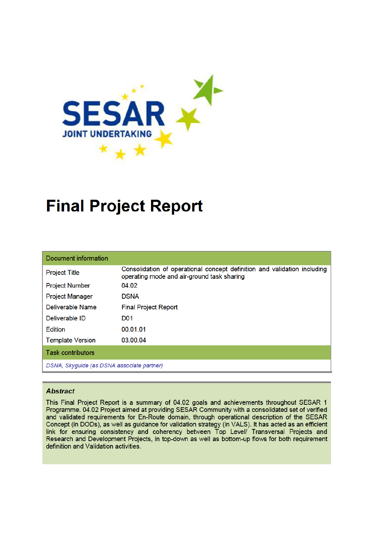

# **Final Project Report**

| Document information                       |                                                                                                                        |  |  |  |
|--------------------------------------------|------------------------------------------------------------------------------------------------------------------------|--|--|--|
| <b>Project Title</b>                       | Consolidation of operational concept definition and validation including<br>operating mode and air-ground task sharing |  |  |  |
| <b>Project Number</b>                      | 04.02                                                                                                                  |  |  |  |
| <b>Project Manager</b>                     | <b>DSNA</b>                                                                                                            |  |  |  |
| Deliverable Name                           | <b>Final Project Report</b>                                                                                            |  |  |  |
| Deliverable ID                             | D <sub>01</sub>                                                                                                        |  |  |  |
| Edition                                    | 00.01.01                                                                                                               |  |  |  |
| <b>Template Version</b>                    | 03.00.04                                                                                                               |  |  |  |
| <b>Task contributors</b>                   |                                                                                                                        |  |  |  |
| DSNA, Skyguide (as DSNA associate partner) |                                                                                                                        |  |  |  |

### **Abstract**

This Final Project Report is a summary of 04.02 goals and achievements throughout SESAR 1 Programme. 04.02 Project aimed at providing SESAR Community with a consolidated set of verified and validated requirements for En-Route domain, through operational description of the SESAR Concept (in DODs), as well as guidance for validation strategy (in VALS). It has acted as an efficient link for ensuring consistency and coherency between Top Level/ Transversal Projects and Research and Development Projects, in top-down as well as bottom-up flows for both requirement definition and Validation activities.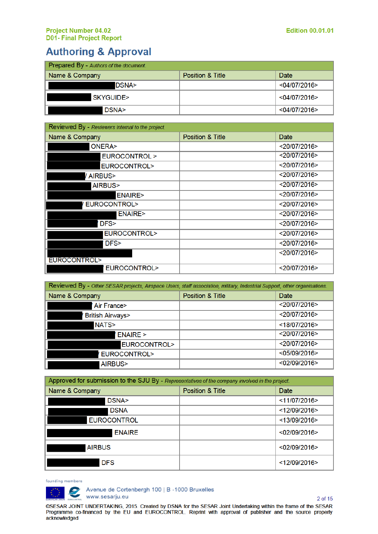# **Authoring & Approval**

| <b>Prepared By - Authors of the document.</b> |                             |              |  |  |
|-----------------------------------------------|-----------------------------|--------------|--|--|
| Name & Company                                | <b>Position &amp; Title</b> | Date         |  |  |
| DSNA>                                         |                             | <04/07/2016> |  |  |
| <b>SKYGUIDE&gt;</b>                           |                             | <04/07/2016> |  |  |
| DSNA>                                         |                             | <04/07/2016> |  |  |

| Reviewed By - Reviewers internal to the project. |                             |              |  |  |
|--------------------------------------------------|-----------------------------|--------------|--|--|
| Name & Company                                   | <b>Position &amp; Title</b> | Date         |  |  |
| <b>ONERA&gt;</b>                                 |                             | <20/07/2016> |  |  |
| <b>EUROCONTROL &gt;</b>                          |                             | <20/07/2016> |  |  |
| EUROCONTROL>                                     |                             | <20/07/2016> |  |  |
| <b>AIRBUS&gt;</b>                                |                             | <20/07/2016> |  |  |
| <b>AIRBUS&gt;</b>                                |                             | <20/07/2016> |  |  |
| <b>ENAIRE&gt;</b>                                |                             | <20/07/2016> |  |  |
| EUROCONTROL>                                     |                             | <20/07/2016> |  |  |
| <b>ENAIRE&gt;</b>                                |                             | <20/07/2016> |  |  |
| DFS>                                             |                             | <20/07/2016> |  |  |
| <b>EUROCONTROL&gt;</b>                           |                             | <20/07/2016> |  |  |
| DFS>                                             |                             | <20/07/2016> |  |  |
| <b>EUROCONTROL&gt;</b>                           |                             | <20/07/2016> |  |  |
| <b>EUROCONTROL&gt;</b>                           |                             | <20/07/2016> |  |  |

| Reviewed By - Other SESAR projects, Airspace Users, staff association, military, Industrial Support, other organisations. |                             |              |  |  |
|---------------------------------------------------------------------------------------------------------------------------|-----------------------------|--------------|--|--|
| Name & Company                                                                                                            | <b>Position &amp; Title</b> | <b>Date</b>  |  |  |
| Air France>                                                                                                               |                             | <20/07/2016> |  |  |
| <b>British Airways&gt;</b>                                                                                                |                             | <20/07/2016> |  |  |
| <b>NATS&gt;</b>                                                                                                           |                             | <18/07/2016> |  |  |
| ENAIRE >                                                                                                                  |                             | <20/07/2016> |  |  |
| EUROCONTROL>                                                                                                              |                             | <20/07/2016> |  |  |
| EUROCONTROL>                                                                                                              |                             | <05/09/2016> |  |  |
| <b>AIRBUS&gt;</b>                                                                                                         |                             | <02/09/2016> |  |  |

| Approved for submission to the SJU By - Representatives of the company involved in the project. |                             |                 |  |  |
|-------------------------------------------------------------------------------------------------|-----------------------------|-----------------|--|--|
| Name & Company                                                                                  | <b>Position &amp; Title</b> | <b>Date</b>     |  |  |
| DSNA>                                                                                           |                             | $<$ 11/07/2016> |  |  |
| <b>DSNA</b>                                                                                     |                             | <12/09/2016>    |  |  |
| <b>EUROCONTROL</b>                                                                              |                             | <13/09/2016>    |  |  |
| <b>ENAIRE</b>                                                                                   |                             | <02/09/2016>    |  |  |
| <b>AIRBUS</b>                                                                                   |                             | <02/09/2016>    |  |  |
| <b>DFS</b>                                                                                      |                             | <12/09/2016>    |  |  |

founding members



Avenue de Cortenbergh 100 | B -1000 Bruxelles www.sesarju.eu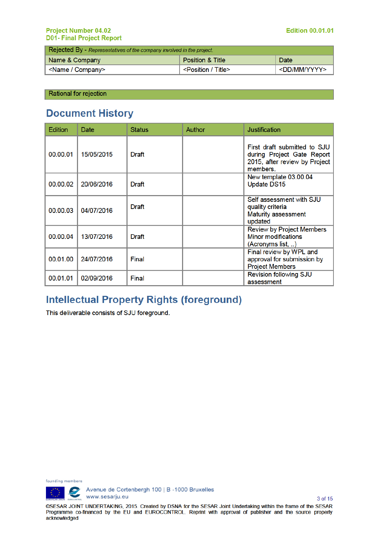| Rejected By - Representatives of the company involved in the project.                   |  |  |  |  |  |
|-----------------------------------------------------------------------------------------|--|--|--|--|--|
| Date<br><b>Position &amp; Title</b><br>Name & Company                                   |  |  |  |  |  |
| <dd mm="" yyyy=""><br/><position title=""><br/><name company=""></name></position></dd> |  |  |  |  |  |

Rational for rejection

# **Document History**

| <b>Edition</b> | Date       | <b>Status</b> | Author | <b>Justification</b>                                                                                    |
|----------------|------------|---------------|--------|---------------------------------------------------------------------------------------------------------|
| 00.00.01       | 15/05/2015 | Draft         |        | First draft submitted to SJU<br>during Project Gate Report<br>2015, after review by Project<br>members. |
| 00.00.02       | 20/06/2016 | <b>Draft</b>  |        | New template 03.00.04<br>Update DS15                                                                    |
| 00.00.03       | 04/07/2016 | <b>Draft</b>  |        | Self assessment with SJU<br>quality criteria<br><b>Maturity assessment</b><br>updated                   |
| 00.00.04       | 13/07/2016 | <b>Draft</b>  |        | <b>Review by Project Members</b><br><b>Minor modifications</b><br>(Acronyms list, )                     |
| 00.01.00       | 24/07/2016 | Final         |        | Final review by WPL and<br>approval for submission by<br><b>Project Members</b>                         |
| 00.01.01       | 02/09/2016 | Final         |        | Revision following SJU<br>assessment                                                                    |

# **Intellectual Property Rights (foreground)**

This deliverable consists of SJU foreground.

founding members



Avenue de Cortenbergh 100 | B -1000 Bruxelles www.sesarju.eu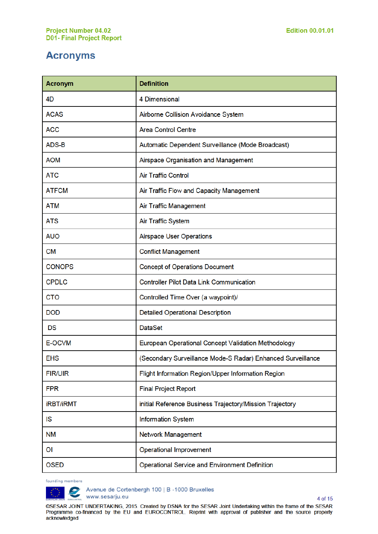# **Acronyms**

| <b>Acronym</b>   | <b>Definition</b>                                           |  |  |
|------------------|-------------------------------------------------------------|--|--|
| 4D               | 4 Dimensional                                               |  |  |
| <b>ACAS</b>      | Airborne Collision Avoidance System                         |  |  |
| <b>ACC</b>       | <b>Area Control Centre</b>                                  |  |  |
| ADS-B            | Automatic Dependent Surveillance (Mode Broadcast)           |  |  |
| <b>AOM</b>       | Airspace Organisation and Management                        |  |  |
| <b>ATC</b>       | <b>Air Traffic Control</b>                                  |  |  |
| <b>ATFCM</b>     | Air Traffic Flow and Capacity Management                    |  |  |
| <b>ATM</b>       | Air Traffic Management                                      |  |  |
| <b>ATS</b>       | Air Traffic System                                          |  |  |
| <b>AUO</b>       | <b>Airspace User Operations</b>                             |  |  |
| СM               | <b>Conflict Management</b>                                  |  |  |
| <b>CONOPS</b>    | <b>Concept of Operations Document</b>                       |  |  |
| <b>CPDLC</b>     | <b>Controller Pilot Data Link Communication</b>             |  |  |
| <b>CTO</b>       | Controlled Time Over (a waypoint)/                          |  |  |
| <b>DOD</b>       | <b>Detailed Operational Description</b>                     |  |  |
| <b>DS</b>        | <b>DataSet</b>                                              |  |  |
| E-OCVM           | European Operational Concept Validation Methodology         |  |  |
| <b>EHS</b>       | (Secondary Surveillance Mode-S Radar) Enhanced Surveillance |  |  |
| <b>FIR/UIR</b>   | Flight Information Region/Upper Information Region          |  |  |
| <b>FPR</b>       | <b>Final Project Report</b>                                 |  |  |
| <b>iRBT/iRMT</b> | initial Reference Business Trajectory/Mission Trajectory    |  |  |
| IS               | <b>Information System</b>                                   |  |  |
| <b>NM</b>        | <b>Network Management</b>                                   |  |  |
| ОI               | <b>Operational Improvement</b>                              |  |  |
| <b>OSED</b>      | Operational Service and Environment Definition              |  |  |

founding members



Avenue de Cortenbergh 100 | B -1000 Bruxelles www.sesarju.eu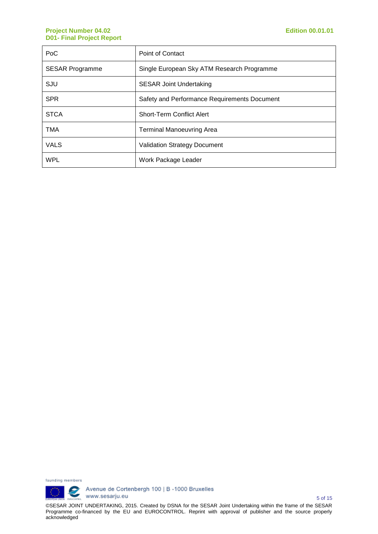#### **Project Number 04.02 Edition 00.01.01 D01- Final Project Report**

| P <sub>o</sub> C       | Point of Contact                             |  |  |
|------------------------|----------------------------------------------|--|--|
| <b>SESAR Programme</b> | Single European Sky ATM Research Programme   |  |  |
| SJU                    | <b>SESAR Joint Undertaking</b>               |  |  |
| <b>SPR</b>             | Safety and Performance Requirements Document |  |  |
| <b>STCA</b>            | <b>Short-Term Conflict Alert</b>             |  |  |
| <b>TMA</b>             | Terminal Manoeuvring Area                    |  |  |
| <b>VALS</b>            | <b>Validation Strategy Document</b>          |  |  |
| <b>WPL</b>             | Work Package Leader                          |  |  |

founding members



Avenue de Cortenbergh 100 | B -1000 Bruxelles Avenue de Corte<br>
www.sesarju.eu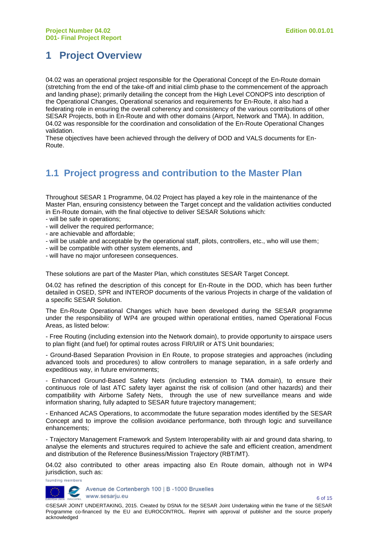### **1 Project Overview**

04.02 was an operational project responsible for the Operational Concept of the En-Route domain (stretching from the end of the take-off and initial climb phase to the commencement of the approach and landing phase); primarily detailing the concept from the High Level CONOPS into description of the Operational Changes, Operational scenarios and requirements for En-Route, it also had a federating role in ensuring the overall coherency and consistency of the various contributions of other SESAR Projects, both in En-Route and with other domains (Airport, Network and TMA). In addition, 04.02 was responsible for the coordination and consolidation of the En-Route Operational Changes validation.

These objectives have been achieved through the delivery of DOD and VALS documents for En-Route.

### **1.1 Project progress and contribution to the Master Plan**

Throughout SESAR 1 Programme, 04.02 Project has played a key role in the maintenance of the Master Plan, ensuring consistency between the Target concept and the validation activities conducted in En-Route domain, with the final objective to deliver SESAR Solutions which:

- will be safe in operations;
- will deliver the required performance;
- are achievable and affordable;
- will be usable and acceptable by the operational staff, pilots, controllers, etc., who will use them;
- will be compatible with other system elements, and
- will have no major unforeseen consequences.

These solutions are part of the Master Plan, which constitutes SESAR Target Concept.

04.02 has refined the description of this concept for En-Route in the DOD, which has been further detailed in OSED, SPR and INTEROP documents of the various Projects in charge of the validation of a specific SESAR Solution.

The En-Route Operational Changes which have been developed during the SESAR programme under the responsibility of WP4 are grouped within operational entities, named Operational Focus Areas, as listed below:

- Free Routing (including extension into the Network domain), to provide opportunity to airspace users to plan flight (and fuel) for optimal routes across FIR/UIR or ATS Unit boundaries;

- Ground-Based Separation Provision in En Route, to propose strategies and approaches (including advanced tools and procedures) to allow controllers to manage separation, in a safe orderly and expeditious way, in future environments;

- Enhanced Ground-Based Safety Nets (including extension to TMA domain), to ensure their continuous role of last ATC safety layer against the risk of collision (and other hazards) and their compatibility with Airborne Safety Nets, through the use of new surveillance means and wide information sharing, fully adapted to SESAR future trajectory management;

- Enhanced ACAS Operations, to accommodate the future separation modes identified by the SESAR Concept and to improve the collision avoidance performance, both through logic and surveillance enhancements;

- Trajectory Management Framework and System Interoperability with air and ground data sharing, to analyse the elements and structures required to achieve the safe and efficient creation, amendment and distribution of the Reference Business/Mission Trajectory (RBT/MT).

04.02 also contributed to other areas impacting also En Route domain, although not in WP4 jurisdiction, such as:

founding members



Avenue de Cortenbergh 100 | B -1000 Bruxelles www.sesarju.eu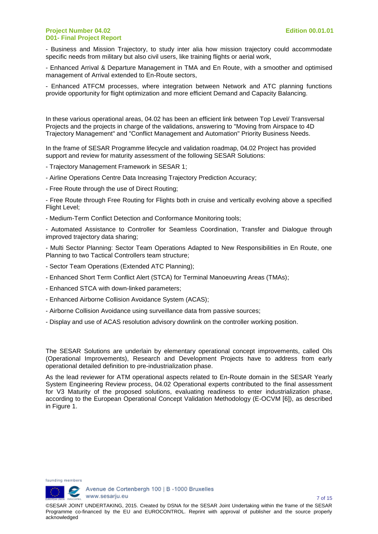#### **Project Number 04.02 Edition 00.01.01 D01- Final Project Report**

- Business and Mission Trajectory, to study inter alia how mission trajectory could accommodate specific needs from military but also civil users, like training flights or aerial work,

- Enhanced Arrival & Departure Management in TMA and En Route, with a smoother and optimised management of Arrival extended to En-Route sectors,

- Enhanced ATFCM processes, where integration between Network and ATC planning functions provide opportunity for flight optimization and more efficient Demand and Capacity Balancing.

In these various operational areas, 04.02 has been an efficient link between Top Level/ Transversal Projects and the projects in charge of the validations, answering to "Moving from Airspace to 4D Trajectory Management" and "Conflict Management and Automation" Priority Business Needs.

In the frame of SESAR Programme lifecycle and validation roadmap, 04.02 Project has provided support and review for maturity assessment of the following SESAR Solutions:

- Trajectory Management Framework in SESAR 1;
- Airline Operations Centre Data Increasing Trajectory Prediction Accuracy;
- Free Route through the use of Direct Routing;

- Free Route through Free Routing for Flights both in cruise and vertically evolving above a specified Flight Level;

- Medium-Term Conflict Detection and Conformance Monitoring tools;

- Automated Assistance to Controller for Seamless Coordination, Transfer and Dialogue through improved trajectory data sharing;

- Multi Sector Planning: Sector Team Operations Adapted to New Responsibilities in En Route, one Planning to two Tactical Controllers team structure;

- Sector Team Operations (Extended ATC Planning);
- Enhanced Short Term Conflict Alert (STCA) for Terminal Manoeuvring Areas (TMAs);
- Enhanced STCA with down-linked parameters;
- Enhanced Airborne Collision Avoidance System (ACAS);
- Airborne Collision Avoidance using surveillance data from passive sources;
- Display and use of ACAS resolution advisory downlink on the controller working position.

The SESAR Solutions are underlain by elementary operational concept improvements, called OIs (Operational Improvements), Research and Development Projects have to address from early operational detailed definition to pre-industrialization phase.

As the lead reviewer for ATM operational aspects related to En-Route domain in the SESAR Yearly System Engineering Review process, 04.02 Operational experts contributed to the final assessment for V3 Maturity of the proposed solutions, evaluating readiness to enter industrialization phase, according to the European Operational Concept Validation Methodology (E-OCVM [\[6\]\)](#page-13-0), as described in Figure 1.

founding members



Avenue de Cortenbergh 100 | B -1000 Bruxelles www.sesarju.eu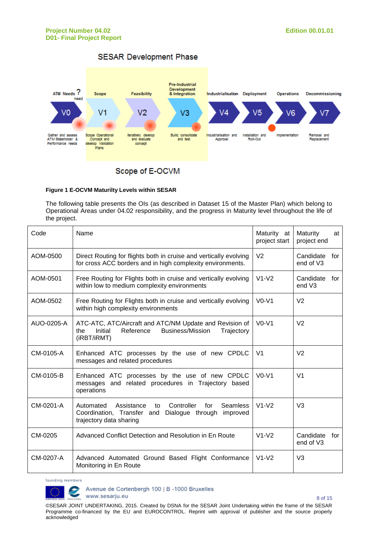**SESAR Development Phase** 



#### **Figure 1 E-OCVM Maturilty Levels within SESAR**

The following table presents the OIs (as described in Dataset 15 of the Master Plan) which belong to Operational Areas under 04.02 responsibility, and the progress in Maturity level throughout the life of the project.

| Code       | Name                                                                                                                                                        | Maturity at<br>project start | Maturity<br>at<br>project end |
|------------|-------------------------------------------------------------------------------------------------------------------------------------------------------------|------------------------------|-------------------------------|
| AOM-0500   | Direct Routing for flights both in cruise and vertically evolving<br>for cross ACC borders and in high complexity environments.                             | V <sub>2</sub>               | Candidate<br>for<br>end of V3 |
| AOM-0501   | Free Routing for Flights both in cruise and vertically evolving<br>within low to medium complexity environments                                             | $V1-V2$                      | Candidate<br>for<br>end V3    |
| AOM-0502   | Free Routing for Flights both in cruise and vertically evolving<br>within high complexity environments                                                      | $V0-V1$                      | V <sub>2</sub>                |
| AUO-0205-A | ATC-ATC, ATC/Aircraft and ATC/NM Update and Revision of<br>Reference<br>Initial<br><b>Business/Mission</b><br>Trajectory<br>the<br>(iRBT/iRMT)              | $V0-V1$                      | V <sub>2</sub>                |
| CM-0105-A  | Enhanced ATC processes by the use of new CPDLC<br>messages and related procedures                                                                           | V <sub>1</sub>               | V <sub>2</sub>                |
| CM-0105-B  | Enhanced ATC processes by the use of new CPDLC<br>and related procedures in Trajectory<br>messages<br>based<br>operations                                   | $VO-V1$                      | V <sub>1</sub>                |
| CM-0201-A  | Controller<br><b>Seamless</b><br>Automated<br>Assistance<br>for<br>to<br>Coordination, Transfer and<br>Dialogue through improved<br>trajectory data sharing | $V1-V2$                      | V <sub>3</sub>                |
| CM-0205    | Advanced Conflict Detection and Resolution in En Route                                                                                                      | $V1-V2$                      | Candidate<br>for<br>end of V3 |
| CM-0207-A  | Advanced Automated Ground Based Flight Conformance<br>Monitoring in En Route                                                                                | $V1-V2$                      | V <sub>3</sub>                |

founding members



8 of 15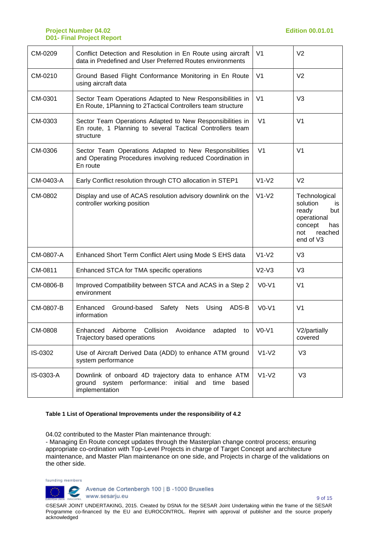| CM-0209   | Conflict Detection and Resolution in En Route using aircraft<br>data in Predefined and User Preferred Routes environments                | V <sub>1</sub> | V <sub>2</sub>                                                                                                         |
|-----------|------------------------------------------------------------------------------------------------------------------------------------------|----------------|------------------------------------------------------------------------------------------------------------------------|
| CM-0210   | Ground Based Flight Conformance Monitoring in En Route<br>using aircraft data                                                            | V <sub>1</sub> | V <sub>2</sub>                                                                                                         |
| CM-0301   | Sector Team Operations Adapted to New Responsibilities in<br>En Route, 1 Planning to 2 Tactical Controllers team structure               | V <sub>1</sub> | V <sub>3</sub>                                                                                                         |
| CM-0303   | Sector Team Operations Adapted to New Responsibilities in<br>En route, 1 Planning to several Tactical Controllers team<br>structure      | V <sub>1</sub> | V <sub>1</sub>                                                                                                         |
| CM-0306   | Sector Team Operations Adapted to New Responsibilities<br>and Operating Procedures involving reduced Coordination in<br>En route         |                | V <sub>1</sub>                                                                                                         |
| CM-0403-A | Early Conflict resolution through CTO allocation in STEP1                                                                                | $V1-V2$        | V <sub>2</sub>                                                                                                         |
| CM-0802   | Display and use of ACAS resolution advisory downlink on the<br>controller working position                                               |                | Technological<br>solution<br><b>is</b><br>ready<br>but<br>operational<br>concept<br>has<br>reached<br>not<br>end of V3 |
| CM-0807-A | Enhanced Short Term Conflict Alert using Mode S EHS data                                                                                 | $V1-V2$        | V <sub>3</sub>                                                                                                         |
| CM-0811   | Enhanced STCA for TMA specific operations                                                                                                | $V2-V3$        | V <sub>3</sub>                                                                                                         |
| CM-0806-B | Improved Compatibility between STCA and ACAS in a Step 2<br>environment                                                                  | $V0-V1$        | V <sub>1</sub>                                                                                                         |
| CM-0807-B | Ground-based<br>Safety Nets<br>Using<br>ADS-B<br>Enhanced<br>information                                                                 | $V0-V1$        | V <sub>1</sub>                                                                                                         |
| CM-0808   | Enhanced Airborne Collision Avoidance adapted to V0-V1<br>Trajectory based operations                                                    |                | V2/partially<br>covered                                                                                                |
| IS-0302   | Use of Aircraft Derived Data (ADD) to enhance ATM ground<br>system performance                                                           | $V1-V2$        | V <sub>3</sub>                                                                                                         |
| IS-0303-A | Downlink of onboard 4D trajectory data to enhance ATM<br>system<br>performance: initial and<br>time<br>ground<br>based<br>implementation | $V1-V2$        | V <sub>3</sub>                                                                                                         |

#### **Table 1 List of Operational Improvements under the responsibility of 4.2**

04.02 contributed to the Master Plan maintenance through: - Managing En Route concept updates through the Masterplan change control process; ensuring appropriate co-ordination with Top-Level Projects in charge of Target Concept and architecture maintenance, and Master Plan maintenance on one side, and Projects in charge of the validations on the other side.

founding members



Avenue de Cortenbergh 100 | B -1000 Bruxelles www.sesarju.eu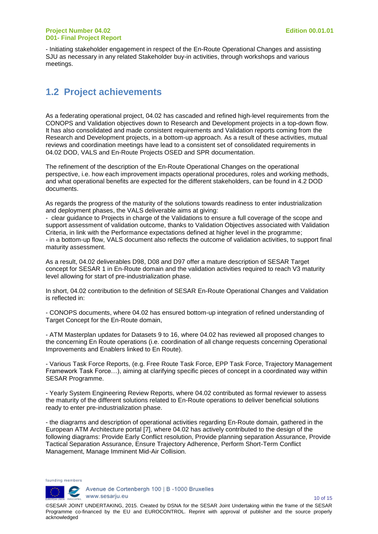- Initiating stakeholder engagement in respect of the En-Route Operational Changes and assisting SJU as necessary in any related Stakeholder buy-in activities, through workshops and various meetings.

### **1.2 Project achievements**

As a federating operational project, 04.02 has cascaded and refined high-level requirements from the CONOPS and Validation objectives down to Research and Development projects in a top-down flow. It has also consolidated and made consistent requirements and Validation reports coming from the Research and Development projects, in a bottom-up approach. As a result of these activities, mutual reviews and coordination meetings have lead to a consistent set of consolidated requirements in 04.02 DOD, VALS and En-Route Projects OSED and SPR documentation.

The refinement of the description of the En-Route Operational Changes on the operational perspective, i.e. how each improvement impacts operational procedures, roles and working methods, and what operational benefits are expected for the different stakeholders, can be found in 4.2 DOD documents.

As regards the progress of the maturity of the solutions towards readiness to enter industrialization and deployment phases, the VALS deliverable aims at giving:

- clear guidance to Projects in charge of the Validations to ensure a full coverage of the scope and support assessment of validation outcome, thanks to Validation Objectives associated with Validation Criteria, in link with the Performance expectations defined at higher level in the programme; - in a bottom-up flow, VALS document also reflects the outcome of validation activities, to support final maturity assessment.

As a result, 04.02 deliverables D98, D08 and D97 offer a mature description of SESAR Target concept for SESAR 1 in En-Route domain and the validation activities required to reach V3 maturity level allowing for start of pre-industrialization phase.

In short, 04.02 contribution to the definition of SESAR En-Route Operational Changes and Validation is reflected in:

- CONOPS documents, where 04.02 has ensured bottom-up integration of refined understanding of Target Concept for the En-Route domain,

- ATM Masterplan updates for Datasets 9 to 16, where 04.02 has reviewed all proposed changes to the concerning En Route operations (i.e. coordination of all change requests concerning Operational Improvements and Enablers linked to En Route).

- Various Task Force Reports, (e.g. Free Route Task Force, EPP Task Force, Trajectory Management Framework Task Force…), aiming at clarifying specific pieces of concept in a coordinated way within SESAR Programme.

- Yearly System Engineering Review Reports, where 04.02 contributed as formal reviewer to assess the maturity of the different solutions related to En-Route operations to deliver beneficial solutions ready to enter pre-industrialization phase.

- the diagrams and description of operational activities regarding En-Route domain, gathered in the European ATM Architecture portal [\[7\],](#page-13-1) where 04.02 has actively contributed to the design of the following diagrams: Provide Early Conflict resolution, Provide planning separation Assurance, Provide Tactical Separation Assurance, Ensure Trajectory Adherence, Perform Short-Term Conflict Management, Manage Imminent Mid-Air Collision.

founding members



Avenue de Cortenbergh 100 | B -1000 Bruxelles www.sesarju.eu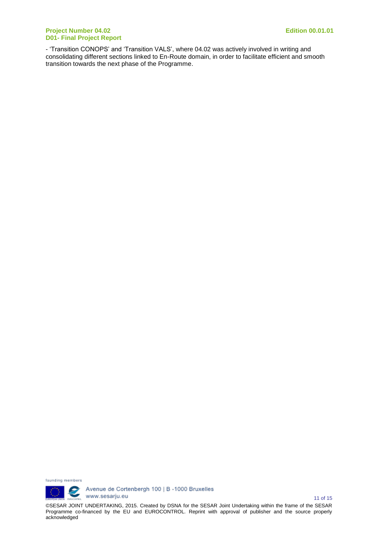#### **Project Number 04.02 Edition 00.01.01 D01- Final Project Report**

- 'Transition CONOPS' and 'Transition VALS', where 04.02 was actively involved in writing and consolidating different sections linked to En-Route domain, in order to facilitate efficient and smooth transition towards the next phase of the Programme.

founding members



Avenue de Cortenbergh 100 | B -1000 Bruxelles www.sesarju.eu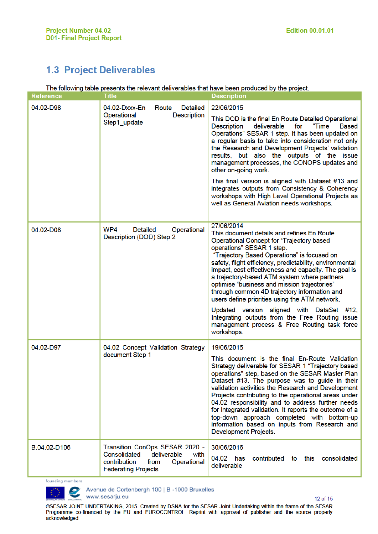# **1.3 Project Deliverables**

|  | The following table presents the relevant deliverables that have been produced by the project. |  |  |
|--|------------------------------------------------------------------------------------------------|--|--|
|  |                                                                                                |  |  |

| <b>Reference</b> | <b>Title</b>                                                                                                                               | <b>Description</b>                                                                                                                                                                                                                                                                                                                                                                                                                                                                                                                                                                                                                                                    |  |  |  |  |
|------------------|--------------------------------------------------------------------------------------------------------------------------------------------|-----------------------------------------------------------------------------------------------------------------------------------------------------------------------------------------------------------------------------------------------------------------------------------------------------------------------------------------------------------------------------------------------------------------------------------------------------------------------------------------------------------------------------------------------------------------------------------------------------------------------------------------------------------------------|--|--|--|--|
| 04.02-D98        | 04.02-Dxxx-En<br><b>Detailed</b><br>Route                                                                                                  | 22/06/2015                                                                                                                                                                                                                                                                                                                                                                                                                                                                                                                                                                                                                                                            |  |  |  |  |
|                  | Operational<br><b>Description</b><br>Step1_update                                                                                          | This DOD is the final En Route Detailed Operational<br><b>Description</b><br>deliverable<br>for<br>"Time<br><b>Based</b><br>Operations" SESAR 1 step. It has been updated on<br>a regular basis to take into consideration not only<br>the Research and Development Projects' validation<br>results, but also the outputs of the issue<br>management processes, the CONOPS updates and<br>other on-going work.                                                                                                                                                                                                                                                        |  |  |  |  |
|                  |                                                                                                                                            | This final version is aligned with Dataset #13 and<br>integrates outputs from Consistency & Coherency<br>workshops with High Level Operational Projects as<br>well as General Aviation needs workshops.                                                                                                                                                                                                                                                                                                                                                                                                                                                               |  |  |  |  |
| 04.02-D08        | WP4<br><b>Detailed</b><br>Operational<br>Description (DOD) Step 2                                                                          | 27/06/2014<br>This document details and refines En Route<br>Operational Concept for "Trajectory based<br>operations" SESAR 1 step.<br>"Trajectory Based Operations" is focused on<br>safety, flight efficiency, predictability, environmental<br>impact, cost effectiveness and capacity. The goal is<br>a trajectory-based ATM system where partners<br>optimise "business and mission trajectories"<br>through common 4D trajectory information and<br>users define priorities using the ATM network.<br>Updated version aligned with DataSet #12,<br>Integrating outputs from the Free Routing issue<br>management process & Free Routing task force<br>workshops. |  |  |  |  |
| 04.02-D97        | 04.02 Concept Validation Strategy                                                                                                          | 19/06/2015                                                                                                                                                                                                                                                                                                                                                                                                                                                                                                                                                                                                                                                            |  |  |  |  |
|                  | document Step 1                                                                                                                            | This document is the final En-Route Validation<br>Strategy deliverable for SESAR 1 "Trajectory based<br>operations" step, based on the SESAR Master Plan<br>Dataset #13. The purpose was to guide in their<br>validation activities the Research and Development<br>Projects contributing to the operational areas under<br>04.02 responsibility and to address further needs<br>for integrated validation. It reports the outcome of a<br>top-down approach completed with bottom-up<br>information based on inputs from Research and<br>Development Projects.                                                                                                       |  |  |  |  |
| B.04.02-D106     | Transition ConOps SESAR 2020 -<br>deliverable<br>Consolidated<br>with<br>contribution<br>from<br>Operational<br><b>Federating Projects</b> | 30/06/2016<br>contributed<br>04.02<br>has<br>to this consolidated<br>deliverable                                                                                                                                                                                                                                                                                                                                                                                                                                                                                                                                                                                      |  |  |  |  |

founding members



Avenue de Cortenbergh 100 | B -1000 Bruxelles

www.sesarju.eu

12 of 15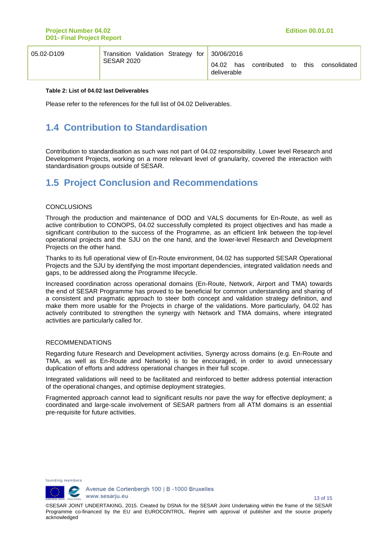| 05.02-D109<br><b>SESAR 2020</b> | Transition Validation Strategy for 30/06/2016 |  |                      |     |             |    |      |
|---------------------------------|-----------------------------------------------|--|----------------------|-----|-------------|----|------|
|                                 |                                               |  | 04.02<br>deliverable | has | contributed | to | this |

#### **Table 2: List of 04.02 last Deliverables**

Please refer to the references for the full list of 04.02 Deliverables.

## **1.4 Contribution to Standardisation**

Contribution to standardisation as such was not part of 04.02 responsibility. Lower level Research and Development Projects, working on a more relevant level of granularity, covered the interaction with standardisation groups outside of SESAR.

### **1.5 Project Conclusion and Recommendations**

#### **CONCLUSIONS**

Through the production and maintenance of DOD and VALS documents for En-Route, as well as active contribution to CONOPS, 04.02 successfully completed its project objectives and has made a significant contribution to the success of the Programme, as an efficient link between the top-level operational projects and the SJU on the one hand, and the lower-level Research and Development Projects on the other hand.

Thanks to its full operational view of En-Route environment, 04.02 has supported SESAR Operational Projects and the SJU by identifying the most important dependencies, integrated validation needs and gaps, to be addressed along the Programme lifecycle.

Increased coordination across operational domains (En-Route, Network, Airport and TMA) towards the end of SESAR Programme has proved to be beneficial for common understanding and sharing of a consistent and pragmatic approach to steer both concept and validation strategy definition, and make them more usable for the Projects in charge of the validations. More particularly, 04.02 has actively contributed to strengthen the synergy with Network and TMA domains, where integrated activities are particularly called for.

#### RECOMMENDATIONS

Regarding future Research and Development activities, Synergy across domains (e.g. En-Route and TMA, as well as En-Route and Network) is to be encouraged, in order to avoid unnecessary duplication of efforts and address operational changes in their full scope.

Integrated validations will need to be facilitated and reinforced to better address potential interaction of the operational changes, and optimise deployment strategies.

Fragmented approach cannot lead to significant results nor pave the way for effective deployment; a coordinated and large-scale involvement of SESAR partners from all ATM domains is an essential pre-requisite for future activities.

founding members



Avenue de Cortenbergh 100 | B -1000 Bruxelles www.sesarju.eu

©SESAR JOINT UNDERTAKING, 2015. Created by DSNA for the SESAR Joint Undertaking within the frame of the SESAR Programme co-financed by the EU and EUROCONTROL. Reprint with approval of publisher and the source properly acknowledged

13 of 15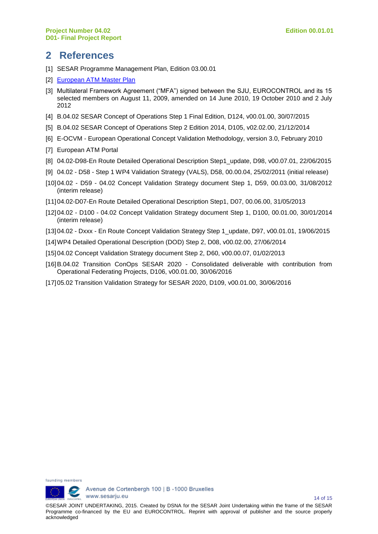### **2 References**

- [1] SESAR Programme Management Plan, Edition 03.00.01
- [2] European ATM Master Plan
- [3] Multilateral Framework Agreement ("MFA") signed between the SJU, EUROCONTROL and its 15 selected members on August 11, 2009, amended on 14 June 2010, 19 October 2010 and 2 July 2012
- [4] B.04.02 SESAR Concept of Operations Step 1 Final Edition, D124, v00.01.00, 30/07/2015
- [5] B.04.02 SESAR Concept of Operations Step 2 Edition 2014, D105, v02.02.00, 21/12/2014
- <span id="page-13-0"></span>[6] E-OCVM - European Operational Concept Validation Methodology, version 3.0, February 2010
- <span id="page-13-1"></span>[7] European ATM Portal
- [8] 04.02-D98-En Route Detailed Operational Description Step1\_update, D98, v00.07.01, 22/06/2015
- [9] 04.02 D58 Step 1 WP4 Validation Strategy (VALS), D58, 00.00.04, 25/02/2011 (initial release)
- [10]04.02 D59 04.02 Concept Validation Strategy document Step 1, D59, 00.03.00, 31/08/2012 (interim release)
- [11]04.02-D07-En Route Detailed Operational Description Step1, D07, 00.06.00, 31/05/2013
- [12]04.02 D100 04.02 Concept Validation Strategy document Step 1, D100, 00.01.00, 30/01/2014 (interim release)
- [13]04.02 Dxxx En Route Concept Validation Strategy Step 1\_update, D97, v00.01.01, 19/06/2015
- [14]WP4 Detailed Operational Description (DOD) Step 2, D08, v00.02.00, 27/06/2014
- [15]04.02 Concept Validation Strategy document Step 2, D60, v00.00.07, 01/02/2013
- [16]B.04.02 Transition ConOps SESAR 2020 Consolidated deliverable with contribution from Operational Federating Projects, D106, v00.01.00, 30/06/2016
- [17]05.02 Transition Validation Strategy for SESAR 2020, D109, v00.01.00, 30/06/2016

founding members

Avenue de Cortenbergh 100 | B -1000 Bruxelles www.sesarju.eu